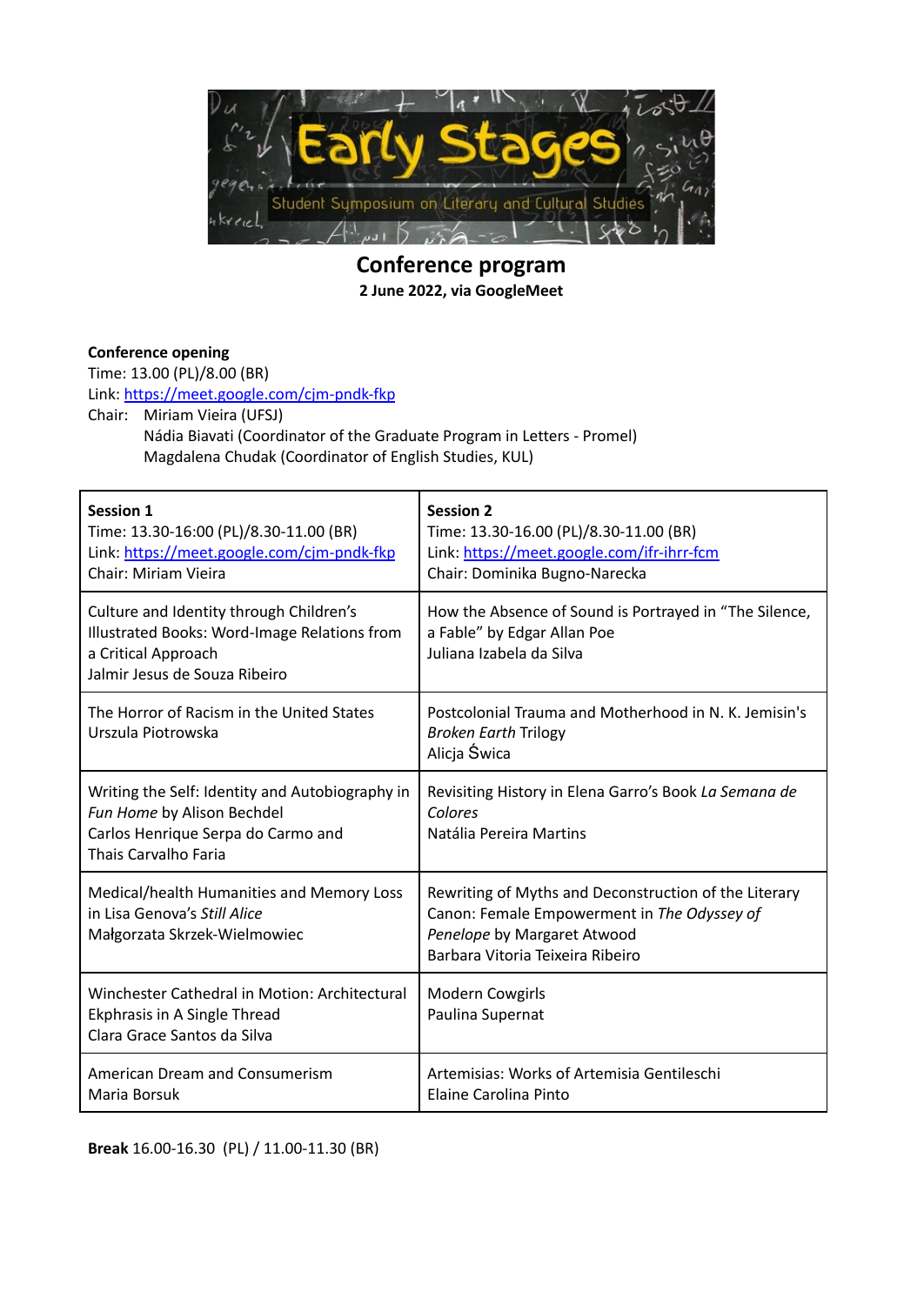

**Conference program 2 June 2022, via GoogleMeet**

## **Conference opening**

Time: 13.00 (PL)/8.00 (BR)

Link: <https://meet.google.com/cjm-pndk-fkp>

Chair: Miriam Vieira (UFSJ)

Nádia Biavati (Coordinator of the Graduate Program in Letters - Promel) Magdalena Chudak (Coordinator of English Studies, KUL)

| <b>Session 1</b><br>Time: 13.30-16:00 (PL)/8.30-11.00 (BR)<br>Link: https://meet.google.com/cjm-pndk-fkp<br><b>Chair: Miriam Vieira</b>         | <b>Session 2</b><br>Time: 13.30-16.00 (PL)/8.30-11.00 (BR)<br>Link: https://meet.google.com/ifr-ihrr-fcm<br>Chair: Dominika Bugno-Narecka                               |
|-------------------------------------------------------------------------------------------------------------------------------------------------|-------------------------------------------------------------------------------------------------------------------------------------------------------------------------|
| Culture and Identity through Children's<br>Illustrated Books: Word-Image Relations from<br>a Critical Approach<br>Jalmir Jesus de Souza Ribeiro | How the Absence of Sound is Portrayed in "The Silence,<br>a Fable" by Edgar Allan Poe<br>Juliana Izabela da Silva                                                       |
| The Horror of Racism in the United States<br>Urszula Piotrowska                                                                                 | Postcolonial Trauma and Motherhood in N. K. Jemisin's<br><b>Broken Earth Trilogy</b><br>Alicja Świca                                                                    |
| Writing the Self: Identity and Autobiography in<br>Fun Home by Alison Bechdel<br>Carlos Henrique Serpa do Carmo and<br>Thais Carvalho Faria     | Revisiting History in Elena Garro's Book La Semana de<br>Colores<br>Natália Pereira Martins                                                                             |
| Medical/health Humanities and Memory Loss<br>in Lisa Genova's Still Alice<br>Małgorzata Skrzek-Wielmowiec                                       | Rewriting of Myths and Deconstruction of the Literary<br>Canon: Female Empowerment in The Odyssey of<br>Penelope by Margaret Atwood<br>Barbara Vitoria Teixeira Ribeiro |
| Winchester Cathedral in Motion: Architectural<br>Ekphrasis in A Single Thread<br>Clara Grace Santos da Silva                                    | Modern Cowgirls<br>Paulina Supernat                                                                                                                                     |
| American Dream and Consumerism<br>Maria Borsuk                                                                                                  | Artemisias: Works of Artemisia Gentileschi<br>Elaine Carolina Pinto                                                                                                     |

**Break** 16.00-16.30 (PL) / 11.00-11.30 (BR)